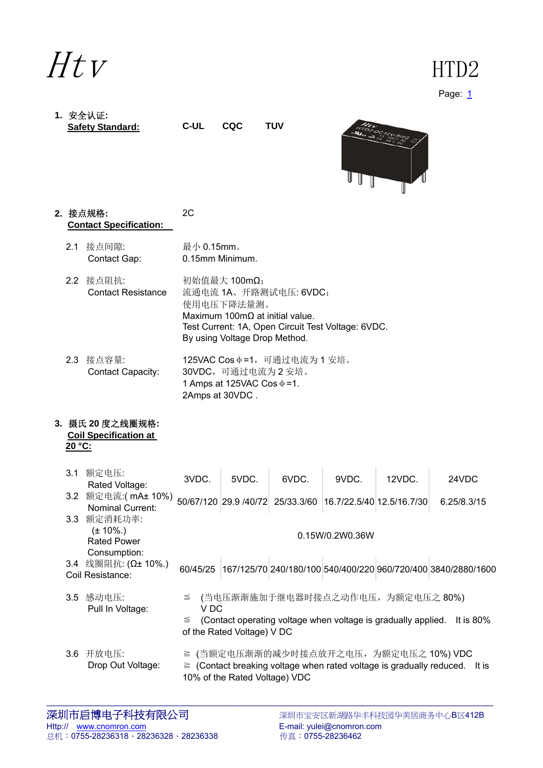$HtV$  HTD2

Page: 1

|                  | 1. 安全认证:<br><b>Safety Standard:</b>                     | <b>C-UL</b>               | <b>CQC</b>                                                              | <b>TUV</b>                                                                                                             |                 | <b>PC12V-SHG</b> |                                                                                |
|------------------|---------------------------------------------------------|---------------------------|-------------------------------------------------------------------------|------------------------------------------------------------------------------------------------------------------------|-----------------|------------------|--------------------------------------------------------------------------------|
|                  | 2. 接点规格:<br><b>Contact Specification:</b>               | 2C                        |                                                                         |                                                                                                                        |                 |                  |                                                                                |
| 2.1              | 接点间隙:<br>Contact Gap:                                   | 最小 0.15mm。                | 0.15mm Minimum.                                                         |                                                                                                                        |                 |                  |                                                                                |
|                  | 2.2 接点阻抗:<br><b>Contact Resistance</b>                  |                           | 初始值最大 100mΩ;<br>使用电压下降法量测。<br>By using Voltage Drop Method.             | 流通电流 1A、开路测试电压: 6VDC;<br>Maximum 100m $\Omega$ at initial value.<br>Test Current: 1A, Open Circuit Test Voltage: 6VDC. |                 |                  |                                                                                |
| $2.3^{\circ}$    | 接点容量:<br><b>Contact Capacity:</b>                       |                           | 30VDC, 可通过电流为2安培。<br>1 Amps at 125VAC Cos $\phi$ =1.<br>2Amps at 30VDC. | 125VAC Cos Φ = 1, 可通过电流为 1 安培。                                                                                         |                 |                  |                                                                                |
| 20 °C:           | 3. 摄氏 20 度之线圈规格:<br><b>Coil Specification at</b>        |                           |                                                                         |                                                                                                                        |                 |                  |                                                                                |
|                  | 3.1 额定电压:<br>Rated Voltage:                             | 3VDC.                     | 5VDC.                                                                   | 6VDC.                                                                                                                  | 9VDC.           | 12VDC.           | 24VDC                                                                          |
|                  | 3.2 额定电流: (mA± 10%)<br><b>Nominal Current:</b>          |                           |                                                                         | 50/67/120 29.9 /40/72 25/33.3/60 16.7/22.5/40 12.5/16.7/30                                                             |                 |                  | 6.25/8.3/15                                                                    |
| 3.3 <sub>1</sub> | 额定消耗功率:<br>$(\pm 10\%.)$<br><b>Rated Power</b>          |                           |                                                                         |                                                                                                                        | 0.15W/0.2W0.36W |                  |                                                                                |
|                  | Consumption:<br>3.4 线圈阻抗: (Ω± 10%.)<br>Coil Resistance: | 60/45/25                  |                                                                         |                                                                                                                        |                 |                  | 167/125/70 240/180/100 540/400/220 960/720/400 3840/2880/1600                  |
|                  | 3.5 感动电压:<br>Pull In Voltage:                           | ≦<br>V <sub>DC</sub><br>≦ | of the Rated Voltage) V DC                                              | (当电压渐渐施加于继电器时接点之动作电压, 为额定电压之 80%)<br>(Contact operating voltage when voltage is gradually applied.                     |                 |                  | It is $80\%$                                                                   |
|                  | 3.6 开放电压:<br>Drop Out Voltage:                          |                           | 10% of the Rated Voltage) VDC                                           | ≧ (当额定电压渐渐的减少时接点放开之电压, 为额定电压之 10%) VDC                                                                                 |                 |                  | $\ge$ (Contact breaking voltage when rated voltage is gradually reduced. It is |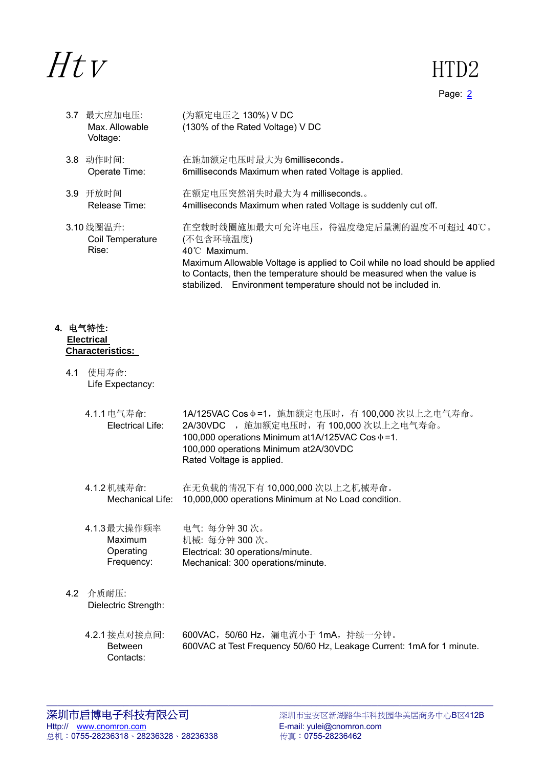Page: 2

3.7 最大应加电压: Max. Allowable Voltage: (为额定电压之 130%) V DC (130% of the Rated Voltage) V DC 3.8 动作时间: Operate Time: 在施加额定电压时最大为 6milliseconds。 6milliseconds Maximum when rated Voltage is applied. 3.9 开放时间 Release Time: 在额定电压突然消失时最大为 4 milliseconds.。 4milliseconds Maximum when rated Voltage is suddenly cut off. 3.10 线圈温升: Coil Temperature Rise: 在空载时线圈施加最大可允许电压,待温度稳定后量测的温度不可超过 40℃。 (不包含环境温度) 40℃ Maximum. Maximum Allowable Voltage is applied to Coil while no load should be applied to Contacts, then the temperature should be measured when the value is stabilized. Environment temperature should not be included in.

### **4.** 电气特性**: Electrical Characteristics:**

### 4.1 使用寿命: Life Expectancy:

| 4.1.1 电气寿命:                                                | 1A/125VAC Cos +=1, 施加额定电压时, 有 100,000 次以上之电气寿命。 |  |  |  |  |  |  |  |
|------------------------------------------------------------|-------------------------------------------------|--|--|--|--|--|--|--|
| Electrical Life:                                           | 2A/30VDC , 施加额定电压时, 有 100,000 次以上之电气寿命。         |  |  |  |  |  |  |  |
| 100,000 operations Minimum at $1A/125VAC$ Cos $\phi = 1$ . |                                                 |  |  |  |  |  |  |  |
|                                                            | 100,000 operations Minimum at 2A/30VDC          |  |  |  |  |  |  |  |
|                                                            | Rated Voltage is applied.                       |  |  |  |  |  |  |  |
|                                                            |                                                 |  |  |  |  |  |  |  |

4.1.2 机械寿命: Mechanical Life: 10,000,000 operations Minimum at No Load condition. 在无负载的情况下有 10,000,000 次以上之机械寿命。

4.1.3 最大操作频率 Maximum **Operating** Frequency: 电气: 每分钟 30 次。 机械: 每分钟 300 次。 Electrical: 30 operations/minute. Mechanical: 300 operations/minute.

- 4.2 介质耐压: Dielectric Strength:
	- 4.2.1 接点对接点间: Between Contacts: 600VAC,50/60 Hz,漏电流小于 1mA,持续一分钟。 600VAC at Test Frequency 50/60 Hz, Leakage Current: 1mA for 1 minute.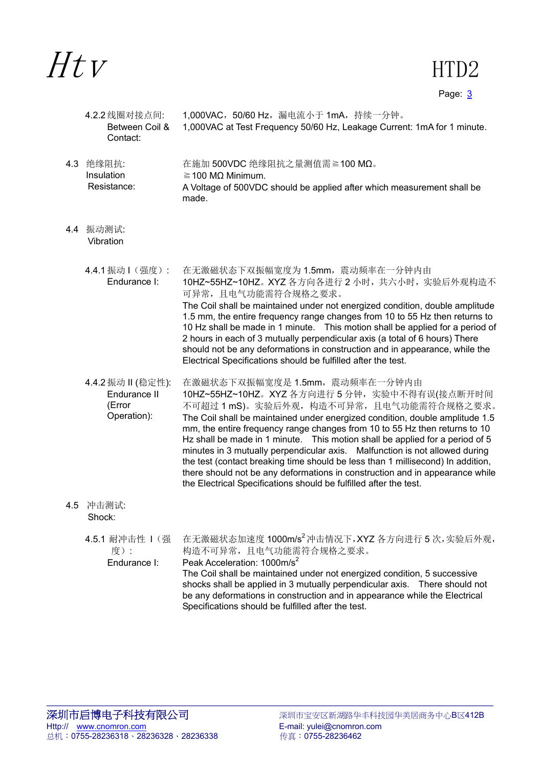$HtV$  HTD2

Page: 3

|     | 4.2.2 线圈对接点间:<br>Between Coil &<br>Contact:               | 1,000VAC,50/60 Hz,漏电流小于 1mA,持续一分钟。<br>1,000VAC at Test Frequency 50/60 Hz, Leakage Current: 1mA for 1 minute.                                                                                                                                                                                                                                                                                                                                                                                                                                                                                                                                                                                     |
|-----|-----------------------------------------------------------|---------------------------------------------------------------------------------------------------------------------------------------------------------------------------------------------------------------------------------------------------------------------------------------------------------------------------------------------------------------------------------------------------------------------------------------------------------------------------------------------------------------------------------------------------------------------------------------------------------------------------------------------------------------------------------------------------|
| 4.3 | 绝缘阻抗:<br>Insulation<br>Resistance:                        | 在施加 500VDC 绝缘阻抗之量测值需≧100 MΩ。<br>$\geq$ 100 MΩ Minimum.<br>A Voltage of 500VDC should be applied after which measurement shall be<br>made.                                                                                                                                                                                                                                                                                                                                                                                                                                                                                                                                                         |
| 4.4 | 振动测试:<br>Vibration                                        |                                                                                                                                                                                                                                                                                                                                                                                                                                                                                                                                                                                                                                                                                                   |
|     | 4.4.1 振动 I (强度):<br>Endurance I:                          | 在无激磁状态下双振幅宽度为 1.5mm, 震动频率在一分钟内由<br>10HZ~55HZ~10HZ。XYZ 各方向各进行 2 小时, 共六小时, 实验后外观构造不<br>可异常,且电气功能需符合规格之要求。<br>The Coil shall be maintained under not energized condition, double amplitude<br>1.5 mm, the entire frequency range changes from 10 to 55 Hz then returns to<br>10 Hz shall be made in 1 minute. This motion shall be applied for a period of<br>2 hours in each of 3 mutually perpendicular axis (a total of 6 hours) There<br>should not be any deformations in construction and in appearance, while the<br>Electrical Specifications should be fulfilled after the test.                                                                                                            |
|     | 4.4.2 振动Ⅱ (稳定性):<br>Endurance II<br>(Error<br>Operation): | 在激磁状态下双振幅宽度是 1.5mm, 震动频率在一分钟内由<br>10HZ~55HZ~10HZ。XYZ 各方向进行 5 分钟, 实验中不得有误(接点断开时间<br>不可超过 1 mS)。实验后外观, 构造不可异常, 且电气功能需符合规格之要求。<br>The Coil shall be maintained under energized condition, double amplitude 1.5<br>mm, the entire frequency range changes from 10 to 55 Hz then returns to 10<br>Hz shall be made in 1 minute. This motion shall be applied for a period of 5<br>minutes in 3 mutually perpendicular axis.  Malfunction is not allowed during<br>the test (contact breaking time should be less than 1 millisecond) In addition,<br>there should not be any deformations in construction and in appearance while<br>the Electrical Specifications should be fulfilled after the test. |
|     | 4.5 冲击测试:<br>Shock:                                       |                                                                                                                                                                                                                                                                                                                                                                                                                                                                                                                                                                                                                                                                                                   |
|     | 4.5.1 耐冲击性 I (强<br>度):<br>Endurance I:                    | 在无激磁状态加速度 1000m/s2 冲击情况下, XYZ 各方向进行 5 次, 实验后外观,<br>构造不可异常, 且电气功能需符合规格之要求。<br>Peak Acceleration: 1000m/s <sup>2</sup><br>The Coil shall be maintained under not energized condition, 5 successive<br>shocks shall be applied in 3 mutually perpendicular axis.  There should not<br>be any deformations in construction and in appearance while the Electrical<br>Specifications should be fulfilled after the test.                                                                                                                                                                                                                                                                               |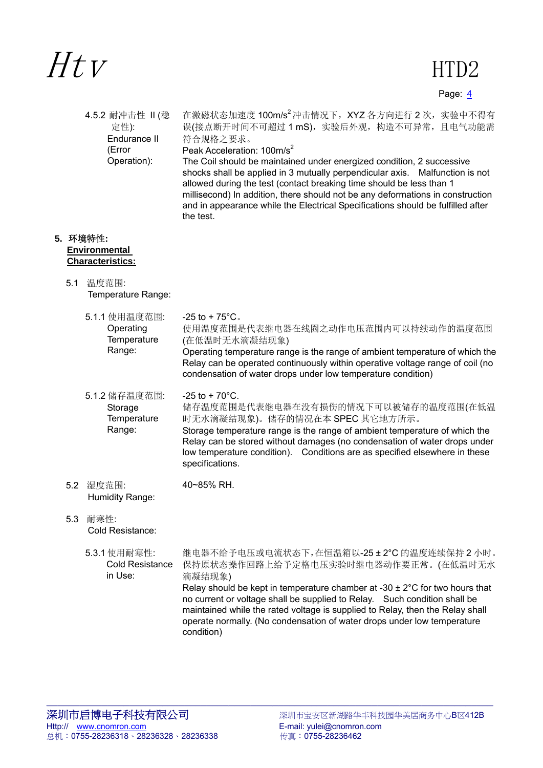Page:  $\frac{4}{5}$ 

|     | 4.5.2 耐冲击性 Ⅱ(稳<br>定性):<br>Endurance II<br>(Error<br>Operation): | 在激磁状态加速度 100m/s2 冲击情况下, XYZ 各方向进行 2 次, 实验中不得有<br>误(接点断开时间不可超过 1 mS), 实验后外观, 构造不可异常, 且电气功能需<br>符合规格之要求。<br>Peak Acceleration: 100m/s <sup>2</sup><br>The Coil should be maintained under energized condition, 2 successive<br>shocks shall be applied in 3 mutually perpendicular axis. Malfunction is not<br>allowed during the test (contact breaking time should be less than 1<br>millisecond) In addition, there should not be any deformations in construction<br>and in appearance while the Electrical Specifications should be fulfilled after<br>the test. |
|-----|-----------------------------------------------------------------|---------------------------------------------------------------------------------------------------------------------------------------------------------------------------------------------------------------------------------------------------------------------------------------------------------------------------------------------------------------------------------------------------------------------------------------------------------------------------------------------------------------------------------------------------------------------|
|     | 5. 环境特性:                                                        |                                                                                                                                                                                                                                                                                                                                                                                                                                                                                                                                                                     |
|     | Environmental                                                   |                                                                                                                                                                                                                                                                                                                                                                                                                                                                                                                                                                     |
|     | <b>Characteristics:</b>                                         |                                                                                                                                                                                                                                                                                                                                                                                                                                                                                                                                                                     |
| 5.1 | 温度范围:<br>Temperature Range:                                     |                                                                                                                                                                                                                                                                                                                                                                                                                                                                                                                                                                     |
|     | 5.1.1 使用温度范围:<br>Operating<br>Temperature<br>Range:             | $-25$ to + 75 $^{\circ}$ C.<br>使用温度范围是代表继电器在线圈之动作电压范围内可以持续动作的温度范围<br>(在低温时无水滴凝结现象)<br>Operating temperature range is the range of ambient temperature of which the<br>Relay can be operated continuously within operative voltage range of coil (no<br>condensation of water drops under low temperature condition)                                                                                                                                                                                                                                                 |
|     | 5.1.2 储存温度范围:<br>Storage<br>Temperature<br>Range:               | $-25$ to + 70 $^{\circ}$ C.<br>储存温度范围是代表继电器在没有损伤的情况下可以被储存的温度范围(在低温<br>时无水滴凝结现象)。储存的情况在本 SPEC 其它地方所示。<br>Storage temperature range is the range of ambient temperature of which the<br>Relay can be stored without damages (no condensation of water drops under<br>low temperature condition). Conditions are as specified elsewhere in these<br>specifications.                                                                                                                                                                                                    |
| 5.2 | 湿度范围:<br>Humidity Range:                                        | 40~85% RH.                                                                                                                                                                                                                                                                                                                                                                                                                                                                                                                                                          |
| 5.3 | 耐寒性:<br>Cold Resistance:                                        |                                                                                                                                                                                                                                                                                                                                                                                                                                                                                                                                                                     |
|     | 5.3.1 使用耐寒性:<br><b>Cold Resistance</b><br>in Use:               | 继电器不给予电压或电流状态下,在恒温箱以-25±2°C的温度连续保持2小时。<br>保持原状态操作回路上给予定格电压实验时继电器动作要正常。(在低温时无水<br>滴凝结现象)<br>Relay should be kept in temperature chamber at -30 $\pm$ 2°C for two hours that<br>no current or voltage shall be supplied to Relay. Such condition shall be<br>maintained while the rated voltage is supplied to Relay, then the Relay shall<br>operate normally. (No condensation of water drops under low temperature<br>condition)                                                                                                                                   |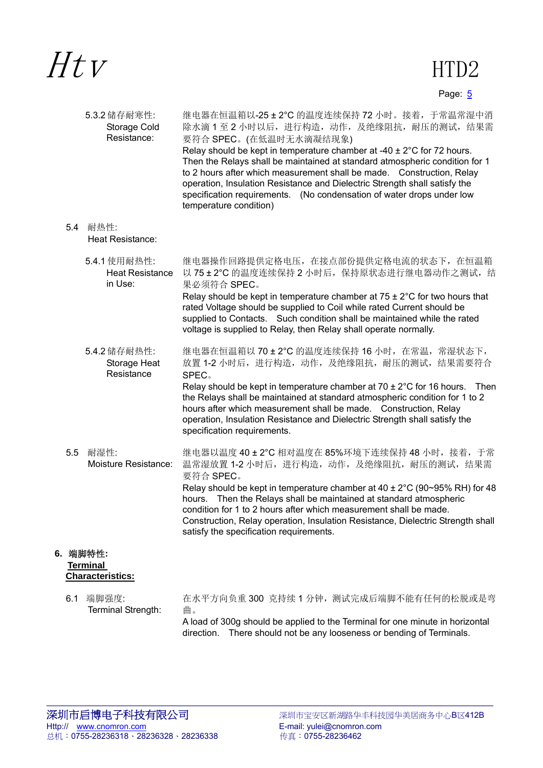Page: 5

|     | 5.3.2 储存耐寒性:<br>Storage Cold<br>Resistance:       | 继电器在恒温箱以-25±2℃ 的温度连续保持 72 小时。接着, 于常温常湿中消<br>除水滴 1 至 2 小时以后,进行构造,动作,及绝缘阻抗,耐压的测试,结果需<br>要符合 SPEC。(在低温时无水滴凝结现象)<br>Relay should be kept in temperature chamber at -40 $\pm$ 2°C for 72 hours.<br>Then the Relays shall be maintained at standard atmospheric condition for 1<br>to 2 hours after which measurement shall be made. Construction, Relay<br>operation, Insulation Resistance and Dielectric Strength shall satisfy the<br>specification requirements. (No condensation of water drops under low<br>temperature condition) |
|-----|---------------------------------------------------|-------------------------------------------------------------------------------------------------------------------------------------------------------------------------------------------------------------------------------------------------------------------------------------------------------------------------------------------------------------------------------------------------------------------------------------------------------------------------------------------------------------------------------------|
| 5.4 | 耐热性:<br>Heat Resistance:                          |                                                                                                                                                                                                                                                                                                                                                                                                                                                                                                                                     |
|     | 5.4.1 使用耐热性:<br><b>Heat Resistance</b><br>in Use: | 继电器操作回路提供定格电压,在接点部份提供定格电流的状态下,在恒温箱<br>以 75±2℃ 的温度连续保持 2 小时后, 保持原状态进行继电器动作之测试, 结<br>果必须符合 SPEC。<br>Relay should be kept in temperature chamber at $75 \pm 2^{\circ}$ C for two hours that<br>rated Voltage should be supplied to Coil while rated Current should be<br>supplied to Contacts. Such condition shall be maintained while the rated<br>voltage is supplied to Relay, then Relay shall operate normally.                                                                                                                  |
|     | 5.4.2 储存耐热性:<br>Storage Heat<br>Resistance        | 继电器在恒温箱以 70 ± 2°C 的温度连续保持 16 小时, 在常温, 常湿状态下,<br>放置 1-2 小时后, 进行构造, 动作, 及绝缘阻抗, 耐压的测试, 结果需要符合<br>SPEC.<br>Relay should be kept in temperature chamber at $70 \pm 2^{\circ}$ C for 16 hours.<br>Then<br>the Relays shall be maintained at standard atmospheric condition for 1 to 2<br>hours after which measurement shall be made. Construction, Relay<br>operation, Insulation Resistance and Dielectric Strength shall satisfy the<br>specification requirements.                                                                    |
| 5.5 | 耐湿性:<br>Moisture Resistance:                      | 继电器以温度 40±2°C 相对温度在 85%环境下连续保持 48 小时, 接着, 于常<br>温常湿放置 1-2 小时后, 进行构造, 动作, 及绝缘阻抗, 耐压的测试, 结果需<br>要符合 SPEC。<br>Relay should be kept in temperature chamber at $40 \pm 2^{\circ}$ C (90~95% RH) for 48<br>hours. Then the Relays shall be maintained at standard atmospheric<br>condition for 1 to 2 hours after which measurement shall be made.<br>Construction, Relay operation, Insulation Resistance, Dielectric Strength shall<br>satisfy the specification requirements.                                                          |
|     | 端脚特性:<br><b>Terminal</b><br>Characteristics:      |                                                                                                                                                                                                                                                                                                                                                                                                                                                                                                                                     |
| 6.1 | 端脚强度:<br>Terminal Strength:                       | 在水平方向负重 300 克持续 1 分钟, 测试完成后端脚不能有任何的松脱或是弯<br>曲。<br>A load of 300g should be applied to the Terminal for one minute in horizontal<br>direction. There should not be any looseness or bending of Terminals.                                                                                                                                                                                                                                                                                                                            |

 $\mathcal{L}_\mathcal{L} = \mathcal{L}_\mathcal{L} = \mathcal{L}_\mathcal{L} = \mathcal{L}_\mathcal{L} = \mathcal{L}_\mathcal{L} = \mathcal{L}_\mathcal{L} = \mathcal{L}_\mathcal{L} = \mathcal{L}_\mathcal{L} = \mathcal{L}_\mathcal{L} = \mathcal{L}_\mathcal{L} = \mathcal{L}_\mathcal{L} = \mathcal{L}_\mathcal{L} = \mathcal{L}_\mathcal{L} = \mathcal{L}_\mathcal{L} = \mathcal{L}_\mathcal{L} = \mathcal{L}_\mathcal{L} = \mathcal{L}_\mathcal{L}$ 

**6.** 端脚特性**:**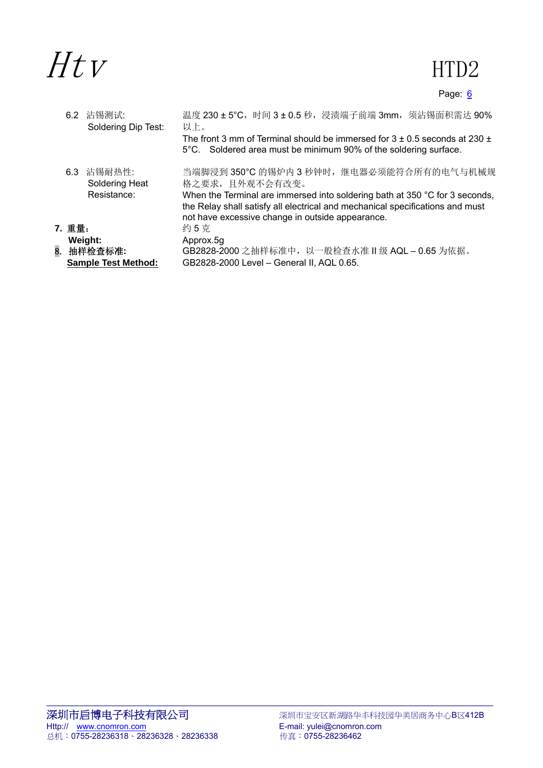### Page: 6

|        | 6.2 沾锡测试:<br>Soldering Dip Test:                    | 温度 230 ± 5°C, 时间 3 ± 0.5 秒, 浸渍端子前端 3mm, 须沾锡面积需达 90%<br>以上。                                                                                                                                                       |
|--------|-----------------------------------------------------|------------------------------------------------------------------------------------------------------------------------------------------------------------------------------------------------------------------|
|        |                                                     | The front 3 mm of Terminal should be immersed for $3 \pm 0.5$ seconds at 230 $\pm$<br>5°C. Soldered area must be minimum 90% of the soldering surface.                                                           |
|        | 6.3 沾锡耐热性:<br>Soldering Heat                        | 当端脚浸到 350℃ 的锡炉内 3 秒钟时, 继电器必须能符合所有的电气与机械规<br>格之要求, 且外观不会有改变。                                                                                                                                                      |
|        | Resistance:                                         | When the Terminal are immersed into soldering bath at 350 °C for 3 seconds,<br>the Relay shall satisfy all electrical and mechanical specifications and must<br>not have excessive change in outside appearance. |
| 7. 重量: |                                                     | 约5克                                                                                                                                                                                                              |
|        | Weight:<br>8. 抽样检查标准:<br><b>Sample Test Method:</b> | Approx.5g<br>GB2828-2000 之抽样标准中, 以一般检查水准Ⅱ级 AQL - 0.65 为依据。<br>GB2828-2000 Level - General II, AQL 0.65.                                                                                                          |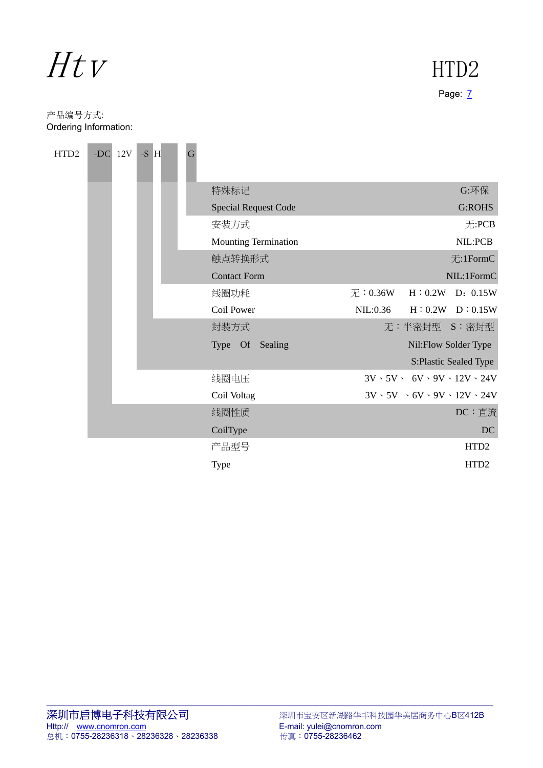## Page: 7

产品编号方式: Ordering Information:

| HTD <sub>2</sub> | -DC | 12V | $-S$ H | G |                             |         |                               |         |                                                     |
|------------------|-----|-----|--------|---|-----------------------------|---------|-------------------------------|---------|-----------------------------------------------------|
|                  |     |     |        |   | 特殊标记                        |         |                               |         | G:环保                                                |
|                  |     |     |        |   | <b>Special Request Code</b> |         |                               |         | <b>G:ROHS</b>                                       |
|                  |     |     |        |   | 安装方式                        |         |                               |         | 无:PCB                                               |
|                  |     |     |        |   | <b>Mounting Termination</b> |         |                               |         | NIL:PCB                                             |
|                  |     |     |        |   | 触点转换形式                      |         |                               |         | 无:1FormC                                            |
|                  |     |     |        |   | <b>Contact Form</b>         |         |                               |         | NIL:1FormC                                          |
|                  |     |     |        |   | 线圈功耗                        |         | $\overline{\text{E}}$ : 0.36W | H: 0.2W | D: 0.15W                                            |
|                  |     |     |        |   | Coil Power                  |         | NIL:0.36                      | H: 0.2W | D: 0.15W                                            |
|                  |     |     |        |   | 封装方式                        |         |                               |         | 无:半密封型 S:密封型                                        |
|                  |     |     |        |   | Type Of                     | Sealing |                               |         | Nil: Flow Solder Type                               |
|                  |     |     |        |   |                             |         |                               |         | <b>S:Plastic Sealed Type</b>                        |
|                  |     |     |        |   | 线圈电压                        |         |                               |         | $3V \cdot 5V \cdot 6V \cdot 9V \cdot 12V \cdot 24V$ |
|                  |     |     |        |   | Coil Voltag                 |         |                               |         | $3V \cdot 5V \cdot 6V \cdot 9V \cdot 12V \cdot 24V$ |
|                  |     |     |        |   | 线圈性质                        |         |                               |         | DC:直流                                               |
|                  |     |     |        |   | CoilType                    |         |                               |         | DC                                                  |
|                  |     |     |        |   | 产品型号                        |         |                               |         | HTD <sub>2</sub>                                    |
|                  |     |     |        |   | <b>Type</b>                 |         |                               |         | HTD <sub>2</sub>                                    |